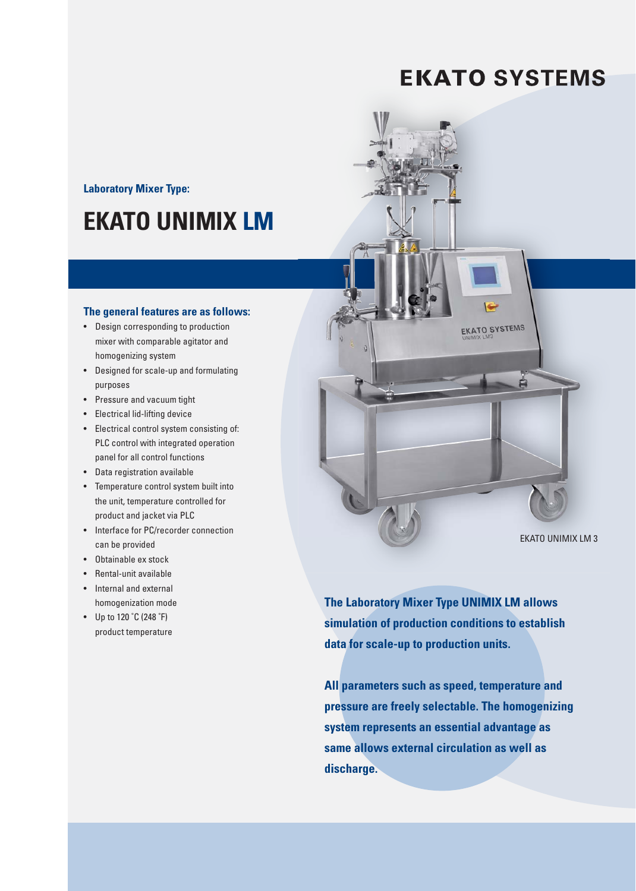### **EKATO SYSTEMS**

**Laboratory Mixer Type:** 

### **EKATO UNIMIX LM**

#### The general features are as follows:

- Design corresponding to production mixer with comparable agitator and homogenizing system
- Designed for scale-up and formulating purposes
- Pressure and vacuum tight
- Electrical lid-lifting device
- Electrical control system consisting of: PLC control with integrated operation panel for all control functions
- Data registration available
- Temperature control system built into the unit, temperature controlled for product and jacket via PLC
- Interface for PC/recorder connection can be provided
- Obtainable ex stock
- Rental-unit available • Internal and external
- homogenization mode
- Up to 120  $°C$  (248  $°F$ ) product temperature



The Laboratory Mixer Type UNIMIX LM allows simulation of production conditions to establish data for scale-up to production units.

All parameters such as speed, temperature and pressure are freely selectable. The homogenizing system represents an essential advantage as same allows external circulation as well as discharge.